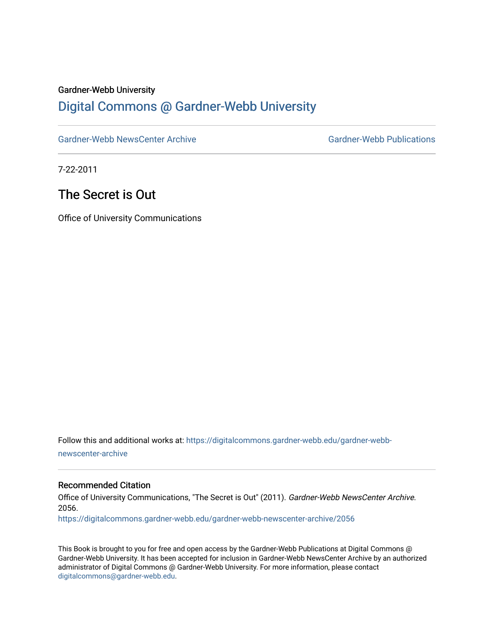#### Gardner-Webb University

### [Digital Commons @ Gardner-Webb University](https://digitalcommons.gardner-webb.edu/)

[Gardner-Webb NewsCenter Archive](https://digitalcommons.gardner-webb.edu/gardner-webb-newscenter-archive) Gardner-Webb Publications

7-22-2011

## The Secret is Out

Office of University Communications

Follow this and additional works at: [https://digitalcommons.gardner-webb.edu/gardner-webb](https://digitalcommons.gardner-webb.edu/gardner-webb-newscenter-archive?utm_source=digitalcommons.gardner-webb.edu%2Fgardner-webb-newscenter-archive%2F2056&utm_medium=PDF&utm_campaign=PDFCoverPages)[newscenter-archive](https://digitalcommons.gardner-webb.edu/gardner-webb-newscenter-archive?utm_source=digitalcommons.gardner-webb.edu%2Fgardner-webb-newscenter-archive%2F2056&utm_medium=PDF&utm_campaign=PDFCoverPages)

### Recommended Citation

Office of University Communications, "The Secret is Out" (2011). Gardner-Webb NewsCenter Archive. 2056.

[https://digitalcommons.gardner-webb.edu/gardner-webb-newscenter-archive/2056](https://digitalcommons.gardner-webb.edu/gardner-webb-newscenter-archive/2056?utm_source=digitalcommons.gardner-webb.edu%2Fgardner-webb-newscenter-archive%2F2056&utm_medium=PDF&utm_campaign=PDFCoverPages) 

This Book is brought to you for free and open access by the Gardner-Webb Publications at Digital Commons @ Gardner-Webb University. It has been accepted for inclusion in Gardner-Webb NewsCenter Archive by an authorized administrator of Digital Commons @ Gardner-Webb University. For more information, please contact [digitalcommons@gardner-webb.edu](mailto:digitalcommons@gardner-webb.edu).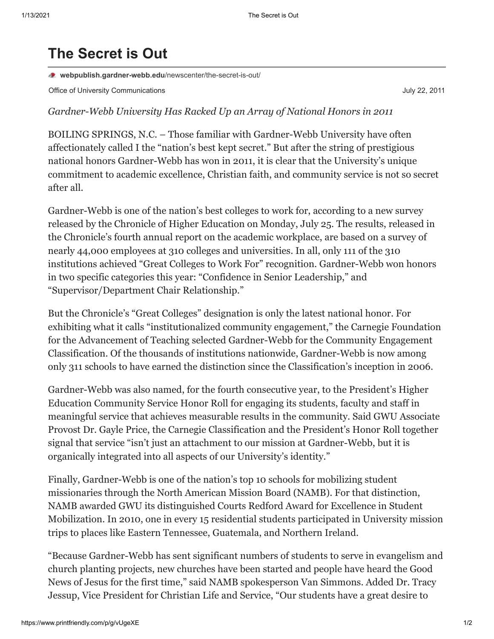# **The Secret is Out**

**[webpublish.gardner-webb.edu](https://webpublish.gardner-webb.edu/newscenter/the-secret-is-out/)**/newscenter/the-secret-is-out/

Office of University Communications **Communications** July 22, 2011

*Gardner-Webb University Has Racked Up an Array of National Honors in 2011*

BOILING SPRINGS, N.C. – Those familiar with Gardner-Webb University have often affectionately called I the "nation's best kept secret." But after the string of prestigious national honors Gardner-Webb has won in 2011, it is clear that the University's unique commitment to academic excellence, Christian faith, and community service is not so secret after all.

Gardner-Webb is one of the nation's best colleges to work for, according to a new survey released by the Chronicle of Higher Education on Monday, July 25. The results, released in the Chronicle's fourth annual report on the academic workplace, are based on a survey of nearly 44,000 employees at 310 colleges and universities. In all, only 111 of the 310 institutions achieved "Great Colleges to Work For" recognition. Gardner-Webb won honors in two specific categories this year: "Confidence in Senior Leadership," and "Supervisor/Department Chair Relationship."

But the Chronicle's "Great Colleges" designation is only the latest national honor. For exhibiting what it calls "institutionalized community engagement," the Carnegie Foundation for the Advancement of Teaching selected Gardner-Webb for the Community Engagement Classification. Of the thousands of institutions nationwide, Gardner-Webb is now among only 311 schools to have earned the distinction since the Classification's inception in 2006.

Gardner-Webb was also named, for the fourth consecutive year, to the President's Higher Education Community Service Honor Roll for engaging its students, faculty and staff in meaningful service that achieves measurable results in the community. Said GWU Associate Provost Dr. Gayle Price, the Carnegie Classification and the President's Honor Roll together signal that service "isn't just an attachment to our mission at Gardner-Webb, but it is organically integrated into all aspects of our University's identity."

Finally, Gardner-Webb is one of the nation's top 10 schools for mobilizing student missionaries through the North American Mission Board (NAMB). For that distinction, NAMB awarded GWU its distinguished Courts Redford Award for Excellence in Student Mobilization. In 2010, one in every 15 residential students participated in University mission trips to places like Eastern Tennessee, Guatemala, and Northern Ireland.

"Because Gardner-Webb has sent significant numbers of students to serve in evangelism and church planting projects, new churches have been started and people have heard the Good News of Jesus for the first time," said NAMB spokesperson Van Simmons. Added Dr. Tracy Jessup, Vice President for Christian Life and Service, "Our students have a great desire to